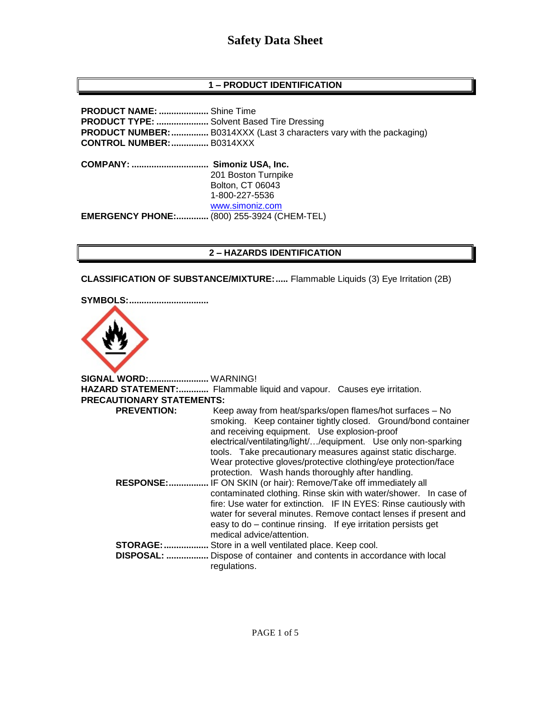### **1 – PRODUCT IDENTIFICATION**

| <b>PRODUCT NAME: </b> Shine Time<br>PRODUCT TYPE:  Solvent Based Tire Dressing<br><b>CONTROL NUMBER:  B0314XXX</b> | <b>PRODUCT NUMBER:</b> B0314XXX (Last 3 characters vary with the packaging)                       |
|--------------------------------------------------------------------------------------------------------------------|---------------------------------------------------------------------------------------------------|
| <b>COMPANY: </b>                                                                                                   | Simoniz USA, Inc.<br>201 Boston Turnpike<br>Bolton, CT 06043<br>1-800-227-5536<br>www.simoniz.com |
| <b>EMERGENCY PHONE:</b>                                                                                            | (800) 255-3924 (CHEM-TEL)                                                                         |

#### **2 – HAZARDS IDENTIFICATION**

**CLASSIFICATION OF SUBSTANCE/MIXTURE:.....** Flammable Liquids (3) Eye Irritation (2B)

**SYMBOLS:................................**



**SIGNAL WORD:........................** WARNING! **HAZARD STATEMENT:............** Flammable liquid and vapour. Causes eye irritation. **PRECAUTIONARY STATEMENTS: PREVENTION:** Keep away from heat/sparks/open flames/hot surfaces – No smoking. Keep container tightly closed. Ground/bond container and receiving equipment. Use explosion-proof electrical/ventilating/light/…/equipment. Use only non-sparking tools. Take precautionary measures against static discharge. Wear protective gloves/protective clothing/eye protection/face protection. Wash hands thoroughly after handling.  **RESPONSE:................** IF ON SKIN (or hair): Remove/Take off immediately all contaminated clothing. Rinse skin with water/shower. In case of fire: Use water for extinction. IF IN EYES: Rinse cautiously with water for several minutes. Remove contact lenses if present and easy to do – continue rinsing. If eye irritation persists get medical advice/attention. **STORAGE:..................** Store in a well ventilated place. Keep cool.  **DISPOSAL: .................** Dispose of container and contents in accordance with local regulations.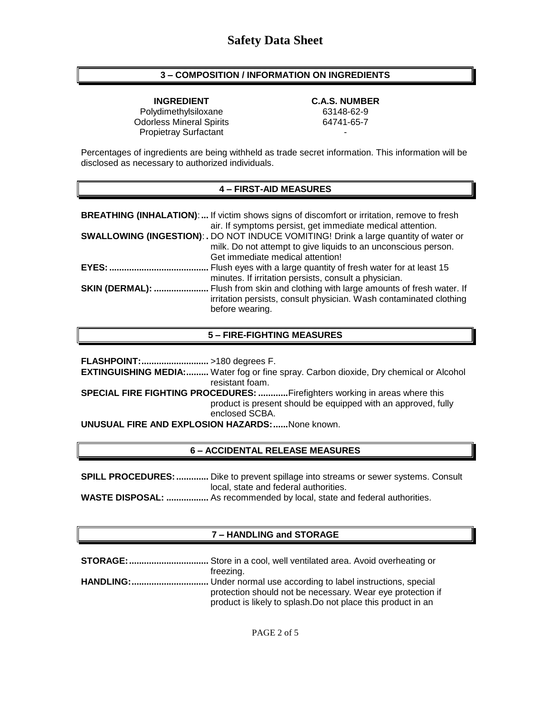### **3 – COMPOSITION / INFORMATION ON INGREDIENTS**

**INGREDIENT C.A.S. NUMBER** Polydimethylsiloxane 63148-62-9 Odorless Mineral Spirits 64741-65-7 Propietray Surfactant

Percentages of ingredients are being withheld as trade secret information. This information will be disclosed as necessary to authorized individuals.

#### **4 – FIRST-AID MEASURES**

|                        | <b>BREATHING (INHALATION):</b> If victim shows signs of discomfort or irritation, remove to fresh<br>air. If symptoms persist, get immediate medical attention.                                   |
|------------------------|---------------------------------------------------------------------------------------------------------------------------------------------------------------------------------------------------|
|                        | <b>SWALLOWING (INGESTION): .</b> DO NOT INDUCE VOMITING! Drink a large quantity of water or<br>milk. Do not attempt to give liquids to an unconscious person.<br>Get immediate medical attention! |
| <b>EYES: </b>          | Flush eyes with a large quantity of fresh water for at least 15<br>minutes. If irritation persists, consult a physician.                                                                          |
| <b>SKIN (DERMAL): </b> | . Flush from skin and clothing with large amounts of fresh water. If<br>irritation persists, consult physician. Wash contaminated clothing<br>before wearing.                                     |

#### **5 – FIRE-FIGHTING MEASURES**

**FLASHPOINT:...........................** >180 degrees F. **EXTINGUISHING MEDIA:.........** Water fog or fine spray. Carbon dioxide, Dry chemical or Alcohol resistant foam. **SPECIAL FIRE FIGHTING PROCEDURES: ............**Firefighters working in areas where this product is present should be equipped with an approved, fully enclosed SCBA. **UNUSUAL FIRE AND EXPLOSION HAZARDS:......**None known.

### **6 – ACCIDENTAL RELEASE MEASURES**

**SPILL PROCEDURES: .............** Dike to prevent spillage into streams or sewer systems. Consult local, state and federal authorities.

**WASTE DISPOSAL: .................** As recommended by local, state and federal authorities.

## **7 – HANDLING and STORAGE**

| freezing.                                                    |
|--------------------------------------------------------------|
|                                                              |
| protection should not be necessary. Wear eye protection if   |
| product is likely to splash. Do not place this product in an |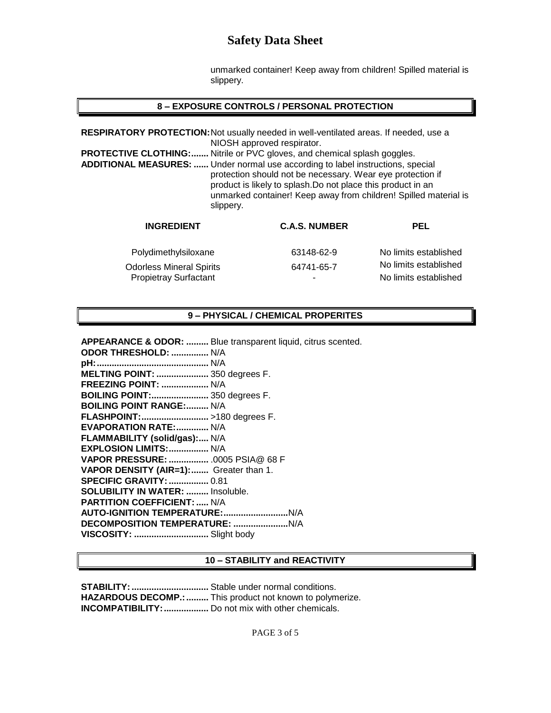unmarked container! Keep away from children! Spilled material is slippery.

## **8 – EXPOSURE CONTROLS / PERSONAL PROTECTION**

| <b>PROTECTIVE CLOTHING:</b>     | RESPIRATORY PROTECTION: Not usually needed in well-ventilated areas. If needed, use a<br>NIOSH approved respirator.<br>Nitrile or PVC gloves, and chemical splash goggles.<br><b>ADDITIONAL MEASURES: </b> Under normal use according to label instructions, special<br>protection should not be necessary. Wear eye protection if<br>product is likely to splash. Do not place this product in an |                       |
|---------------------------------|----------------------------------------------------------------------------------------------------------------------------------------------------------------------------------------------------------------------------------------------------------------------------------------------------------------------------------------------------------------------------------------------------|-----------------------|
| slippery.                       | unmarked container! Keep away from children! Spilled material is                                                                                                                                                                                                                                                                                                                                   |                       |
| <b>INGREDIENT</b>               | <b>C.A.S. NUMBER</b>                                                                                                                                                                                                                                                                                                                                                                               | <b>PEL</b>            |
| Polydimethylsiloxane            | 63148-62-9                                                                                                                                                                                                                                                                                                                                                                                         | No limits established |
| <b>Odorless Mineral Spirits</b> | 64741-65-7                                                                                                                                                                                                                                                                                                                                                                                         | No limits established |

#### **9 – PHYSICAL / CHEMICAL PROPERITES**

Propietray Surfactant **No limits established** 

**APPEARANCE & ODOR: .........** Blue transparent liquid, citrus scented. **ODOR THRESHOLD: ...............** N/A **pH:.............................................** N/A **MELTING POINT: .....................** 350 degrees F. **FREEZING POINT: ...................** N/A **BOILING POINT:.......................** 350 degrees F. **BOILING POINT RANGE:.........** N/A **FLASHPOINT:...........................** >180 degrees F. **EVAPORATION RATE:.............** N/A **FLAMMABILITY (solid/gas):....** N/A **EXPLOSION LIMITS:................** N/A **VAPOR PRESSURE: ................** .0005 PSIA@ 68 F **VAPOR DENSITY (AIR=1):.......** Greater than 1. **SPECIFIC GRAVITY:................** 0.81 **SOLUBILITY IN WATER: .........** Insoluble. **PARTITION COEFFICIENT: .....** N/A **AUTO-IGNITION TEMPERATURE:..........................**N/A **DECOMPOSITION TEMPERATURE: ......................**N/A **VISCOSITY: ..............................** Slight body

#### **10 – STABILITY and REACTIVITY**

**STABILITY:...............................** Stable under normal conditions. HAZARDOUS DECOMP.: ......... This product not known to polymerize. **INCOMPATIBILITY:..................** Do not mix with other chemicals.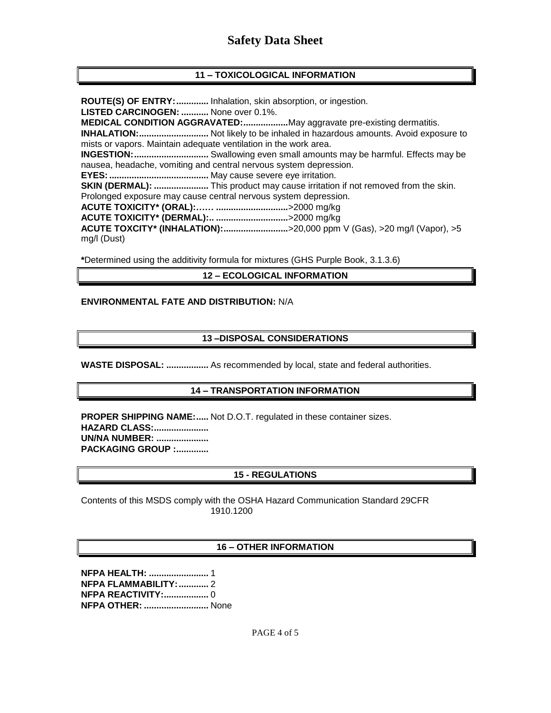## **11 – TOXICOLOGICAL INFORMATION**

**ROUTE(S) OF ENTRY:.............** Inhalation, skin absorption, or ingestion. **LISTED CARCINOGEN: ...........** None over 0.1%. **MEDICAL CONDITION AGGRAVATED:..................**May aggravate pre-existing dermatitis. **INHALATION:............................** Not likely to be inhaled in hazardous amounts. Avoid exposure to mists or vapors. Maintain adequate ventilation in the work area. **INGESTION:..............................** Swallowing even small amounts may be harmful. Effects may be nausea, headache, vomiting and central nervous system depression. **EYES:........................................** May cause severe eye irritation. **SKIN (DERMAL): ......................** This product may cause irritation if not removed from the skin. Prolonged exposure may cause central nervous system depression. **ACUTE TOXICITY\* (ORAL):…… .............................**>2000 mg/kg **ACUTE TOXICITY\* (DERMAL):.. .............................**>2000 mg/kg **ACUTE TOXCITY\* (INHALATION):..........................**>20,000 ppm V (Gas), >20 mg/l (Vapor), >5 mg/l (Dust)

**\***Determined using the additivity formula for mixtures (GHS Purple Book, 3.1.3.6)

#### **12 – ECOLOGICAL INFORMATION**

#### **ENVIRONMENTAL FATE AND DISTRIBUTION:** N/A

#### **13 –DISPOSAL CONSIDERATIONS**

**WASTE DISPOSAL: .................** As recommended by local, state and federal authorities.

#### **14 – TRANSPORTATION INFORMATION**

**PROPER SHIPPING NAME:.....** Not D.O.T. regulated in these container sizes. **HAZARD CLASS:...................... UN/NA NUMBER: ..................... PACKAGING GROUP :.............**

#### **15 - REGULATIONS**

Contents of this MSDS comply with the OSHA Hazard Communication Standard 29CFR 1910.1200

#### **16 – OTHER INFORMATION**

**NFPA HEALTH: ........................** 1 **NFPA FLAMMABILITY:............** 2 **NFPA REACTIVITY:..................** 0 **NFPA OTHER: ..........................** None